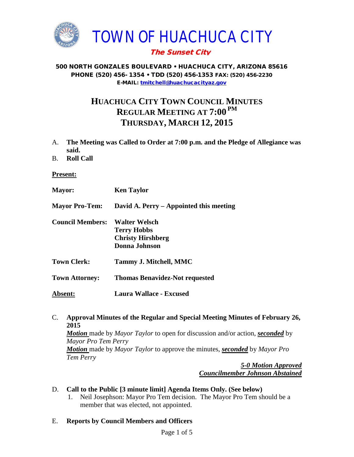

# The Sunset City

#### 500 NORTH GONZALES BOULEVARD • HUACHUCA CITY, ARIZONA 85616 PHONE (520) 456- 1354 • TDD (520) 456-1353 FAX: (520) 456-2230 E-MAIL: [tmitchell@huachucacityaz.gov](mailto:tmitchell@huachucacityaz.gov)

# **HUACHUCA CITY TOWN COUNCIL MINUTES REGULAR MEETING AT 7:00 PM THURSDAY, MARCH 12, 2015**

- A. **The Meeting was Called to Order at 7:00 p.m. and the Pledge of Allegiance was said.**
- B. **Roll Call**

#### **Present:**

| <b>Mayor:</b>           | <b>Ken Taylor</b>                                                                       |
|-------------------------|-----------------------------------------------------------------------------------------|
| <b>Mayor Pro-Tem:</b>   | David A. Perry – Appointed this meeting                                                 |
| <b>Council Members:</b> | Walter Welsch<br><b>Terry Hobbs</b><br><b>Christy Hirshberg</b><br><b>Donna Johnson</b> |
| <b>Town Clerk:</b>      | Tammy J. Mitchell, MMC                                                                  |
| <b>Town Attorney:</b>   | <b>Thomas Benavidez-Not requested</b>                                                   |
| Absent:                 | Laura Wallace - Excused                                                                 |

#### C. **Approval Minutes of the Regular and Special Meeting Minutes of February 26, 2015** *Motion* made by *Mayor Taylor* to open for discussion and/or action, *seconded* by *Mayor Pro Tem Perry Motion* made by *Mayor Taylor* to approve the minutes, *seconded* by *Mayor Pro*

*Tem Perry 5-0 Motion Approved*

*Councilmember Johnson Abstained*

# D. **Call to the Public [3 minute limit] Agenda Items Only. (See below)**

1. Neil Josephson: Mayor Pro Tem decision. The Mayor Pro Tem should be a member that was elected, not appointed.

## E. **Reports by Council Members and Officers**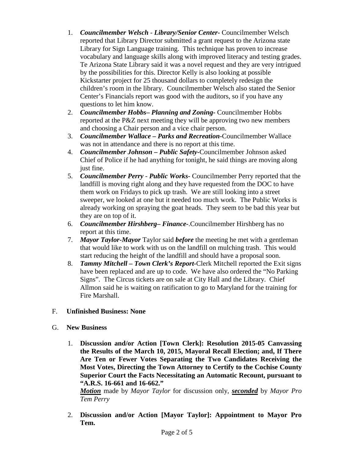- 1. *Councilmember Welsch - Library/Senior Center***-** Councilmember Welsch reported that Library Director submitted a grant request to the Arizona state Library for Sign Language training. This technique has proven to increase vocabulary and language skills along with improved literacy and testing grades. Te Arizona State Library said it was a novel request and they are very intrigued by the possibilities for this. Director Kelly is also looking at possible Kickstarter project for 25 thousand dollars to completely redesign the children's room in the library. Councilmember Welsch also stated the Senior Center's Financials report was good with the auditors, so if you have any questions to let him know.
- 2. *Councilmember Hobbs***–** *Planning and Zoning-* Councilmember Hobbs reported at the P&Z next meeting they will be approving two new members and choosing a Chair person and a vice chair person.
- 3. *Councilmember Wallace* **–** *Parks and Recreation***-**Councilmember Wallace was not in attendance and there is no report at this time.
- 4. *Councilmember Johnson – Public Safety-*Councilmember Johnson asked Chief of Police if he had anything for tonight, he said things are moving along just fine.
- 5. *Councilmember Perry Public Works-* Councilmember Perry reported that the landfill is moving right along and they have requested from the DOC to have them work on Fridays to pick up trash. We are still looking into a street sweeper, we looked at one but it needed too much work. The Public Works is already working on spraying the goat heads. They seem to be bad this year but they are on top of it.
- 6. *Councilmember Hirshberg***–** *Finance-*.Councilmember Hirshberg has no report at this time.
- 7. *Mayor Taylor-Mayor* Taylor said *before* the meeting he met with a gentleman that would like to work with us on the landfill on mulching trash. This would start reducing the height of the landfill and should have a proposal soon.
- 8. *Tammy Mitchell – Town Clerk's Report-*Clerk Mitchell reported the Exit signs have been replaced and are up to code. We have also ordered the "No Parking Signs". The Circus tickets are on sale at City Hall and the Library. Chief Allmon said he is waiting on ratification to go to Maryland for the training for Fire Marshall.

## F. **Unfinished Business: None**

- G. **New Business**
	- 1. **Discussion and/or Action [Town Clerk]: Resolution 2015-05 Canvassing the Results of the March 10, 2015, Mayoral Recall Election; and, If There Are Ten or Fewer Votes Separating the Two Candidates Receiving the Most Votes, Directing the Town Attorney to Certify to the Cochise County Superior Court the Facts Necessitating an Automatic Recount, pursuant to "A.R.S. 16-661 and 16-662."**

*Motion* made by *Mayor Taylor* for discussion only, *seconded* by *Mayor Pro Tem Perry*

2. **Discussion and/or Action [Mayor Taylor]: Appointment to Mayor Pro Tem.**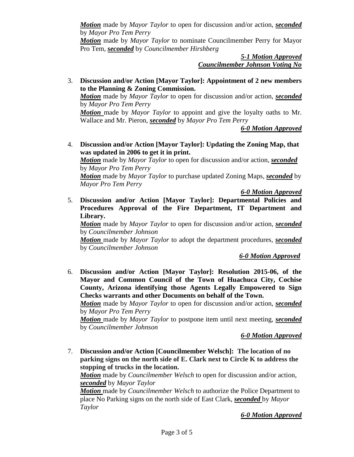*Motion* made by *Mayor Taylor* to open for discussion and/or action, *seconded* by *Mayor Pro Tem Perry*

*Motion* made by *Mayor Taylor* to nominate Councilmember Perry for Mayor Pro Tem, *seconded* by *Councilmember Hirshberg*

> *5-1 Motion Approved Councilmember Johnson Voting No*

3. **Discussion and/or Action [Mayor Taylor]: Appointment of 2 new members to the Planning & Zoning Commission.**

*Motion* made by *Mayor Taylor* to open for discussion and/or action, *seconded* by *Mayor Pro Tem Perry*

*Motion* made by *Mayor Taylor* to appoint and give the loyalty oaths to Mr. Wallace and Mr. Pieron, *seconded* by *Mayor Pro Tem Perry*

*6-0 Motion Approved*

4. **Discussion and/or Action [Mayor Taylor]: Updating the Zoning Map, that was updated in 2006 to get it in print.**

*Motion* made by *Mayor Taylor* to open for discussion and/or action, *seconded* by *Mayor Pro Tem Perry*

*Motion* made by *Mayor Taylor* to purchase updated Zoning Maps, *seconded* by *Mayor Pro Tem Perry*

*6-0 Motion Approved*

5. **Discussion and/or Action [Mayor Taylor]: Departmental Policies and Procedures Approval of the Fire Department, IT Department and Library.**

*Motion* made by *Mayor Taylor* to open for discussion and/or action, *seconded* by *Councilmember Johnson*

*Motion* made by *Mayor Taylor* to adopt the department procedures, *seconded*  by *Councilmember Johnson*

*6-0 Motion Approved*

6. **Discussion and/or Action [Mayor Taylor]: Resolution 2015-06, of the Mayor and Common Council of the Town of Huachuca City, Cochise County, Arizona identifying those Agents Legally Empowered to Sign Checks warrants and other Documents on behalf of the Town.**

*Motion* made by *Mayor Taylor* to open for discussion and/or action, *seconded* by *Mayor Pro Tem Perry*

*Motion* made by *Mayor Taylor* to postpone item until next meeting, *seconded* by *Councilmember Johnson*

*6-0 Motion Approved*

7. **Discussion and/or Action [Councilmember Welsch]: The location of no parking signs on the north side of E. Clark next to Circle K to address the stopping of trucks in the location.**

*Motion* made by *Councilmember Welsch* to open for discussion and/or action, *seconded* by *Mayor Taylor*

*Motion* made by *Councilmember Welsch* to authorize the Police Department to place No Parking signs on the north side of East Clark, *seconded* by *Mayor Taylor*

*6-0 Motion Approved*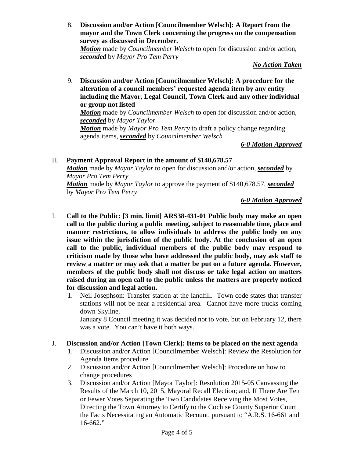8. **Discussion and/or Action [Councilmember Welsch]: A Report from the mayor and the Town Clerk concerning the progress on the compensation survey as discussed in December.**

*Motion* made by *Councilmember Welsch* to open for discussion and/or action, *seconded* by *Mayor Pro Tem Perry*

*No Action Taken*

9. **Discussion and/or Action [Councilmember Welsch]: A procedure for the alteration of a council members' requested agenda item by any entity including the Mayor, Legal Council, Town Clerk and any other individual or group not listed**

*Motion* made by *Councilmember Welsch* to open for discussion and/or action, *seconded* by *Mayor Taylor*

*Motion* made by *Mayor Pro Tem Perry* to draft a policy change regarding agenda items, *seconded* by *Councilmember Welsch*

*6-0 Motion Approved*

H. **Payment Approval Report in the amount of \$140,678.57** *Motion* made by *Mayor Taylor* to open for discussion and/or action, *seconded* by *Mayor Pro Tem Perry Motion* made by *Mayor Taylor* to approve the payment of \$140,678.57, *seconded* by *Mayor Pro Tem Perry*

## *6-0 Motion Approved*

- I. **Call to the Public: [3 min. limit] ARS38-431-01 Public body may make an open call to the public during a public meeting, subject to reasonable time, place and manner restrictions, to allow individuals to address the public body on any issue within the jurisdiction of the public body. At the conclusion of an open call to the public, individual members of the public body may respond to criticism made by those who have addressed the public body, may ask staff to review a matter or may ask that a matter be put on a future agenda. However, members of the public body shall not discuss or take legal action on matters raised during an open call to the public unless the matters are properly noticed for discussion and legal action.**
	- 1. Neil Josephson: Transfer station at the landfill.Town code states that transfer stations will not be near a residential area. Cannot have more trucks coming down Skyline.

January 8 Council meeting it was decided not to vote, but on February 12, there was a vote. You can't have it both ways.

## J. **Discussion and/or Action [Town Clerk]: Items to be placed on the next agenda**

- 1. Discussion and/or Action [Councilmember Welsch]: Review the Resolution for Agenda Items procedure.
- 2. Discussion and/or Action [Councilmember Welsch]: Procedure on how to change procedures
- 3. Discussion and/or Action [Mayor Taylor]: Resolution 2015-05 Canvassing the Results of the March 10, 2015, Mayoral Recall Election; and, If There Are Ten or Fewer Votes Separating the Two Candidates Receiving the Most Votes, Directing the Town Attorney to Certify to the Cochise County Superior Court the Facts Necessitating an Automatic Recount, pursuant to "A.R.S. 16-661 and 16-662."